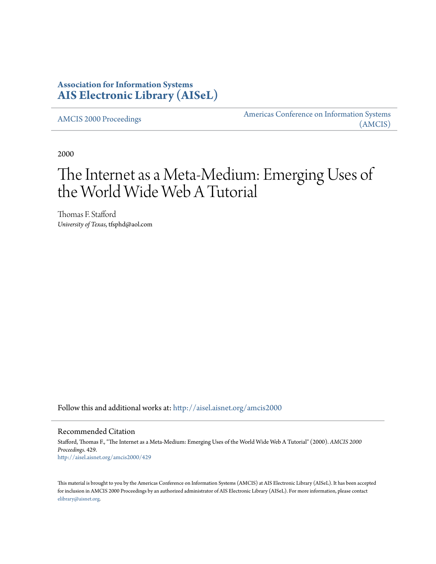# **Association for Information Systems [AIS Electronic Library \(AISeL\)](http://aisel.aisnet.org?utm_source=aisel.aisnet.org%2Famcis2000%2F429&utm_medium=PDF&utm_campaign=PDFCoverPages)**

[AMCIS 2000 Proceedings](http://aisel.aisnet.org/amcis2000?utm_source=aisel.aisnet.org%2Famcis2000%2F429&utm_medium=PDF&utm_campaign=PDFCoverPages)

[Americas Conference on Information Systems](http://aisel.aisnet.org/amcis?utm_source=aisel.aisnet.org%2Famcis2000%2F429&utm_medium=PDF&utm_campaign=PDFCoverPages) [\(AMCIS\)](http://aisel.aisnet.org/amcis?utm_source=aisel.aisnet.org%2Famcis2000%2F429&utm_medium=PDF&utm_campaign=PDFCoverPages)

2000

# The Internet as a Meta-Medium: Emerging Uses of the World Wide Web A Tutorial

Thomas F. Stafford *University of Texas*, tfsphd@aol.com

Follow this and additional works at: [http://aisel.aisnet.org/amcis2000](http://aisel.aisnet.org/amcis2000?utm_source=aisel.aisnet.org%2Famcis2000%2F429&utm_medium=PDF&utm_campaign=PDFCoverPages)

Recommended Citation

Stafford, Thomas F., "The Internet as a Meta-Medium: Emerging Uses of the World Wide Web A Tutorial" (2000). *AMCIS 2000 Proceedings*. 429. [http://aisel.aisnet.org/amcis2000/429](http://aisel.aisnet.org/amcis2000/429?utm_source=aisel.aisnet.org%2Famcis2000%2F429&utm_medium=PDF&utm_campaign=PDFCoverPages)

This material is brought to you by the Americas Conference on Information Systems (AMCIS) at AIS Electronic Library (AISeL). It has been accepted for inclusion in AMCIS 2000 Proceedings by an authorized administrator of AIS Electronic Library (AISeL). For more information, please contact [elibrary@aisnet.org.](mailto:elibrary@aisnet.org%3E)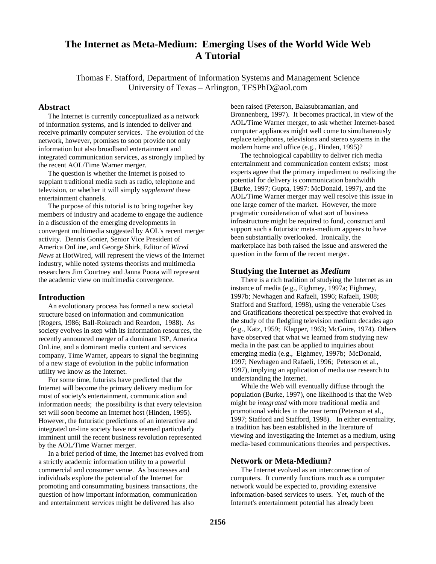# **The Internet as Meta-Medium: Emerging Uses of the World Wide Web A Tutorial**

Thomas F. Stafford, Department of Information Systems and Management Science University of Texas – Arlington, TFSPhD@aol.com

### **Abstract**

The Internet is currently conceptualized as a network of information systems, and is intended to deliver and receive primarily computer services. The evolution of the network, however, promises to soon provide not only information but also broadband entertainment and integrated communication services, as strongly implied by the recent AOL/Time Warner merger.

The question is whether the Internet is poised to supplant traditional media such as radio, telephone and television, or whether it will simply *supplement* these entertainment channels.

The purpose of this tutorial is to bring together key members of industry and academe to engage the audience in a discussion of the emerging developments in convergent multimedia suggested by AOL's recent merger activity. Dennis Gonier, Senior Vice President of America OnLine, and George Shirk, Editor of *Wired News* at HotWired, will represent the views of the Internet industry, while noted systems theorists and multimedia researchers Jim Courtney and Janna Poora will represent the academic view on multimedia convergence.

# **Introduction**

An evolutionary process has formed a new societal structure based on information and communication (Rogers, 1986; Ball-Rokeach and Reardon, 1988). As society evolves in step with its information resources, the recently announced merger of a dominant ISP, America OnLine, and a dominant media content and services company, Time Warner, appears to signal the beginning of a new stage of evolution in the public information utility we know as the Internet.

For some time, futurists have predicted that the Internet will become the primary delivery medium for most of society's entertainment, communication and information needs; the possibility is that every television set will soon become an Internet host (Hinden, 1995). However, the futuristic predictions of an interactive and integrated on-line society have not seemed particularly imminent until the recent business revolution represented by the AOL/Time Warner merger.

In a brief period of time, the Internet has evolved from a strictly academic information utility to a powerful commercial and consumer venue. As businesses and individuals explore the potential of the Internet for promoting and consummating business transactions, the question of how important information, communication and entertainment services might be delivered has also

been raised (Peterson, Balasubramanian, and Bronnenberg, 1997). It becomes practical, in view of the AOL/Time Warner merger, to ask whether Internet-based computer appliances might well come to simultaneously replace telephones, televisions and stereo systems in the modern home and office (e.g., Hinden, 1995)?

The technological capability to deliver rich media entertainment and communication content exists; most experts agree that the primary impediment to realizing the potential for delivery is communication bandwidth (Burke, 1997; Gupta, 1997: McDonald, 1997), and the AOL/Time Warner merger may well resolve this issue in one large corner of the market. However, the more pragmatic consideration of what sort of business infrastructure might be required to fund, construct and support such a futuristic meta-medium appears to have been substantially overlooked. Ironically, the marketplace has both raised the issue and answered the question in the form of the recent merger.

## **Studying the Internet as** *Medium*

There is a rich tradition of studying the Internet as an instance of media (e.g., Eighmey, 1997a; Eighmey, 1997b; Newhagen and Rafaeli, 1996; Rafaeli, 1988; Stafford and Stafford, 1998), using the venerable Uses and Gratifications theoretical perspective that evolved in the study of the fledgling television medium decades ago (e.g., Katz, 1959; Klapper, 1963; McGuire, 1974). Others have observed that what we learned from studying new media in the past can be applied to inquiries about emerging media (e.g., Eighmey, 1997b; McDonald, 1997; Newhagen and Rafaeli, 1996; Peterson et al., 1997), implying an application of media use research to understanding the Internet.

While the Web will eventually diffuse through the population (Burke, 1997), one likelihood is that the Web might be *integrated* with more traditional media and promotional vehicles in the near term (Peterson et al., 1997; Stafford and Stafford, 1998). In either eventuality, a tradition has been established in the literature of viewing and investigating the Internet as a medium, using media-based communications theories and perspectives.

## **Network or Meta-Medium?**

The Internet evolved as an interconnection of computers. It currently functions much as a computer network would be expected to, providing extensive information-based services to users. Yet, much of the Internet's entertainment potential has already been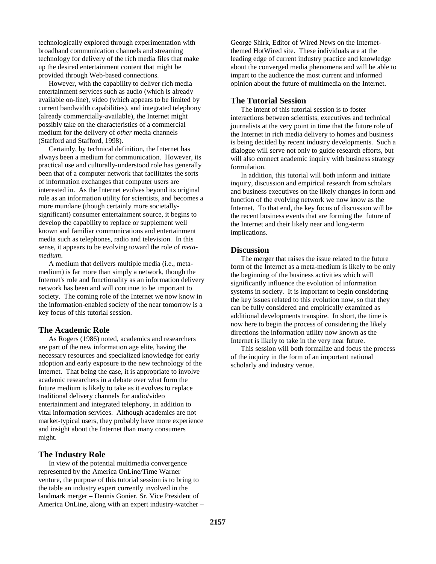technologically explored through experimentation with broadband communication channels and streaming technology for delivery of the rich media files that make up the desired entertainment content that might be provided through Web-based connections.

However, with the capability to deliver rich media entertainment services such as audio (which is already available on-line), video (which appears to be limited by current bandwidth capabilities), and integrated telephony (already commercially-available), the Internet might possibly take on the characteristics of a commercial medium for the delivery of *other* media channels (Stafford and Stafford, 1998).

Certainly, by technical definition, the Internet has always been a medium for communication. However, its practical use and culturally-understood role has generally been that of a computer network that facilitates the sorts of information exchanges that computer users are interested in. As the Internet evolves beyond its original role as an information utility for scientists, and becomes a more mundane (though certainly more societallysignificant) consumer entertainment source, it begins to develop the capability to replace or supplement well known and familiar communications and entertainment media such as telephones, radio and television. In this sense, it appears to be evolving toward the role of *metamedium*.

A medium that delivers multiple media (i.e., metamedium) is far more than simply a network, though the Internet's role and functionality as an information delivery network has been and will continue to be important to society. The coming role of the Internet we now know in the information-enabled society of the near tomorrow is a key focus of this tutorial session.

#### **The Academic Role**

As Rogers (1986) noted, academics and researchers are part of the new information age elite, having the necessary resources and specialized knowledge for early adoption and early exposure to the new technology of the Internet. That being the case, it is appropriate to involve academic researchers in a debate over what form the future medium is likely to take as it evolves to replace traditional delivery channels for audio/video entertainment and integrated telephony, in addition to vital information services. Although academics are not market-typical users, they probably have more experience and insight about the Internet than many consumers might.

#### **The Industry Role**

In view of the potential multimedia convergence represented by the America OnLine/Time Warner venture, the purpose of this tutorial session is to bring to the table an industry expert currently involved in the landmark merger – Dennis Gonier, Sr. Vice President of America OnLine, along with an expert industry-watcher – George Shirk, Editor of Wired News on the Internetthemed HotWired site. These individuals are at the leading edge of current industry practice and knowledge about the converged media phenomena and will be able to impart to the audience the most current and informed opinion about the future of multimedia on the Internet.

#### **The Tutorial Session**

The intent of this tutorial session is to foster interactions between scientists, executives and technical journalists at the very point in time that the future role of the Internet in rich media delivery to homes and business is being decided by recent industry developments. Such a dialogue will serve not only to guide research efforts, but will also connect academic inquiry with business strategy formulation.

In addition, this tutorial will both inform and initiate inquiry, discussion and empirical research from scholars and business executives on the likely changes in form and function of the evolving network we now know as the Internet. To that end, the key focus of discussion will be the recent business events that are forming the future of the Internet and their likely near and long-term implications.

#### **Discussion**

The merger that raises the issue related to the future form of the Internet as a meta-medium is likely to be only the beginning of the business activities which will significantly influence the evolution of information systems in society. It is important to begin considering the key issues related to this evolution now, so that they can be fully considered and empirically examined as additional developments transpire. In short, the time is now here to begin the process of considering the likely directions the information utility now known as the Internet is likely to take in the very near future.

This session will both formalize and focus the process of the inquiry in the form of an important national scholarly and industry venue.